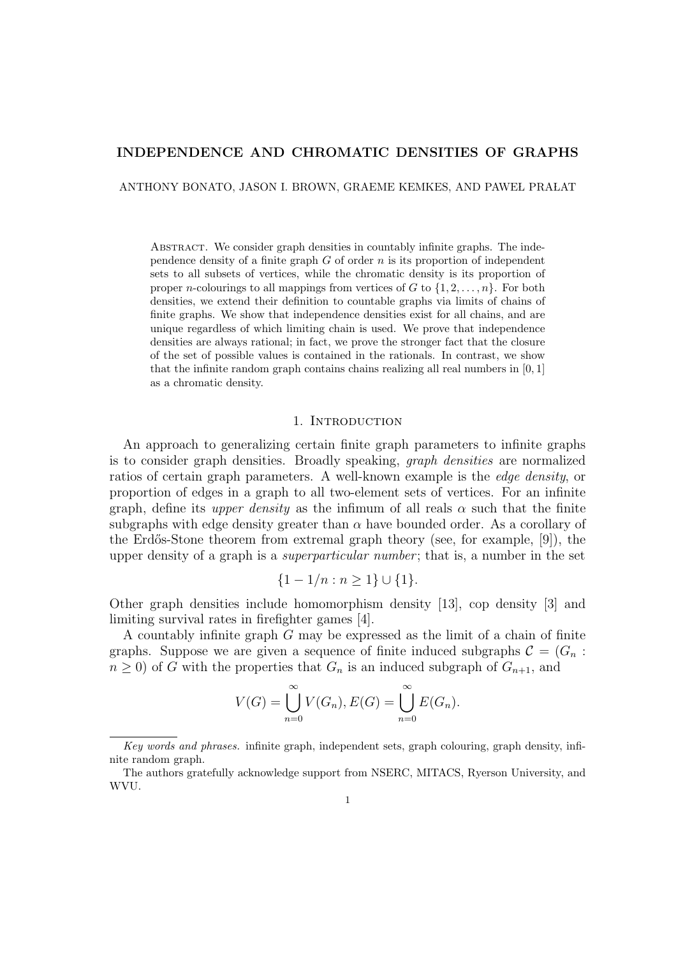# INDEPENDENCE AND CHROMATIC DENSITIES OF GRAPHS

ANTHONY BONATO, JASON I. BROWN, GRAEME KEMKES, AND PAWEŁ PRAŁAT

Abstract. We consider graph densities in countably infinite graphs. The independence density of a finite graph  $G$  of order  $n$  is its proportion of independent sets to all subsets of vertices, while the chromatic density is its proportion of proper *n*-colourings to all mappings from vertices of G to  $\{1, 2, \ldots, n\}$ . For both densities, we extend their definition to countable graphs via limits of chains of finite graphs. We show that independence densities exist for all chains, and are unique regardless of which limiting chain is used. We prove that independence densities are always rational; in fact, we prove the stronger fact that the closure of the set of possible values is contained in the rationals. In contrast, we show that the infinite random graph contains chains realizing all real numbers in  $[0, 1]$ as a chromatic density.

### 1. INTRODUCTION

An approach to generalizing certain finite graph parameters to infinite graphs is to consider graph densities. Broadly speaking, graph densities are normalized ratios of certain graph parameters. A well-known example is the edge density, or proportion of edges in a graph to all two-element sets of vertices. For an infinite graph, define its upper density as the infimum of all reals  $\alpha$  such that the finite subgraphs with edge density greater than  $\alpha$  have bounded order. As a corollary of the Erdős-Stone theorem from extremal graph theory (see, for example, [9]), the upper density of a graph is a *superparticular number*; that is, a number in the set

$$
\{1 - 1/n : n \ge 1\} \cup \{1\}.
$$

Other graph densities include homomorphism density [13], cop density [3] and limiting survival rates in firefighter games [4].

A countably infinite graph G may be expressed as the limit of a chain of finite graphs. Suppose we are given a sequence of finite induced subgraphs  $\mathcal{C} = (G_n :$  $n \geq 0$ ) of G with the properties that  $G_n$  is an induced subgraph of  $G_{n+1}$ , and

$$
V(G) = \bigcup_{n=0}^{\infty} V(G_n), E(G) = \bigcup_{n=0}^{\infty} E(G_n).
$$

Key words and phrases. infinite graph, independent sets, graph colouring, graph density, infinite random graph.

The authors gratefully acknowledge support from NSERC, MITACS, Ryerson University, and WVU.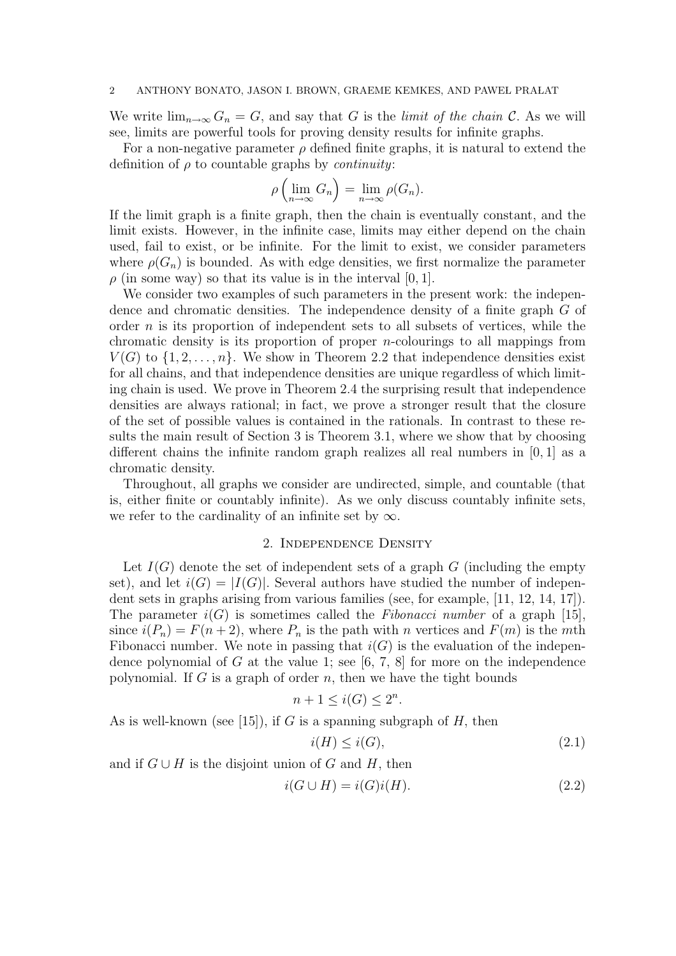We write  $\lim_{n\to\infty} G_n = G$ , and say that G is the *limit of the chain* C. As we will see, limits are powerful tools for proving density results for infinite graphs.

For a non-negative parameter  $\rho$  defined finite graphs, it is natural to extend the definition of  $\rho$  to countable graphs by *continuity*:  $\sum_{\ell}$ 

$$
\rho\left(\lim_{n\to\infty}G_n\right)=\lim_{n\to\infty}\rho(G_n).
$$

If the limit graph is a finite graph, then the chain is eventually constant, and the limit exists. However, in the infinite case, limits may either depend on the chain used, fail to exist, or be infinite. For the limit to exist, we consider parameters where  $\rho(G_n)$  is bounded. As with edge densities, we first normalize the parameter  $\rho$  (in some way) so that its value is in the interval [0, 1].

We consider two examples of such parameters in the present work: the independence and chromatic densities. The independence density of a finite graph G of order  $n$  is its proportion of independent sets to all subsets of vertices, while the chromatic density is its proportion of proper n-colourings to all mappings from  $V(G)$  to  $\{1, 2, \ldots, n\}$ . We show in Theorem 2.2 that independence densities exist for all chains, and that independence densities are unique regardless of which limiting chain is used. We prove in Theorem 2.4 the surprising result that independence densities are always rational; in fact, we prove a stronger result that the closure of the set of possible values is contained in the rationals. In contrast to these results the main result of Section 3 is Theorem 3.1, where we show that by choosing different chains the infinite random graph realizes all real numbers in [0, 1] as a chromatic density.

Throughout, all graphs we consider are undirected, simple, and countable (that is, either finite or countably infinite). As we only discuss countably infinite sets, we refer to the cardinality of an infinite set by  $\infty$ .

# 2. Independence Density

Let  $I(G)$  denote the set of independent sets of a graph G (including the empty set), and let  $i(G) = |I(G)|$ . Several authors have studied the number of independent sets in graphs arising from various families (see, for example, [11, 12, 14, 17]). The parameter  $i(G)$  is sometimes called the *Fibonacci number* of a graph [15], since  $i(P_n) = F(n+2)$ , where  $P_n$  is the path with n vertices and  $F(m)$  is the mth Fibonacci number. We note in passing that  $i(G)$  is the evaluation of the independence polynomial of G at the value 1; see  $[6, 7, 8]$  for more on the independence polynomial. If G is a graph of order n, then we have the tight bounds

$$
n+1 \le i(G) \le 2^n.
$$

As is well-known (see [15]), if G is a spanning subgraph of H, then

$$
i(H) \le i(G),\tag{2.1}
$$

and if  $G \cup H$  is the disjoint union of G and H, then

$$
i(G \cup H) = i(G)i(H). \tag{2.2}
$$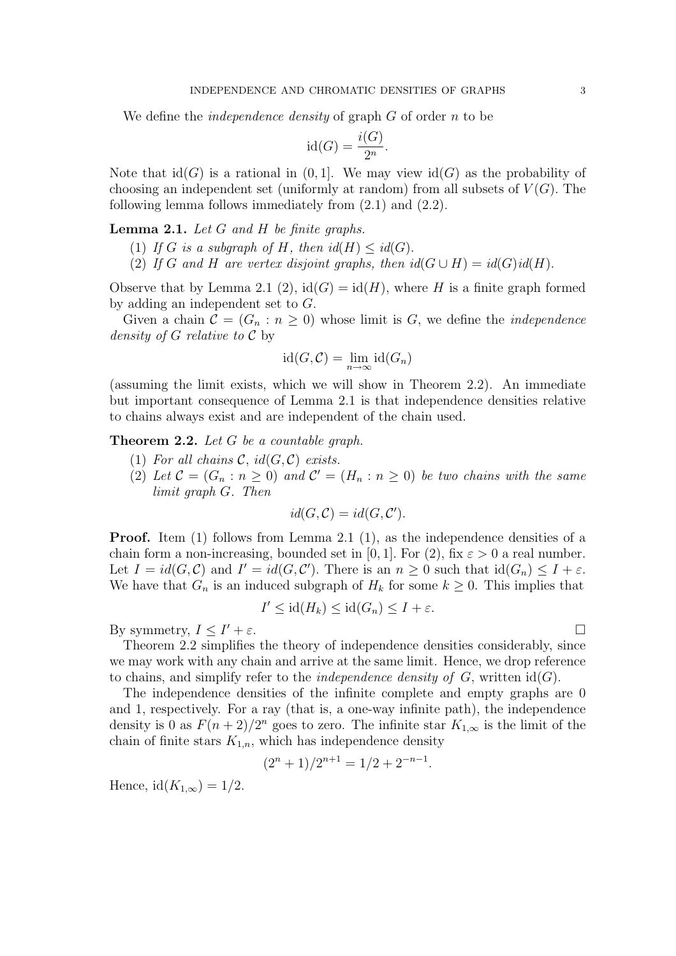We define the *independence density* of graph  $G$  of order  $n$  to be

$$
\mathrm{id}(G) = \frac{i(G)}{2^n}.
$$

Note that  $\text{id}(G)$  is a rational in  $(0, 1]$ . We may view  $\text{id}(G)$  as the probability of choosing an independent set (uniformly at random) from all subsets of  $V(G)$ . The following lemma follows immediately from (2.1) and (2.2).

**Lemma 2.1.** Let  $G$  and  $H$  be finite graphs.

- (1) If G is a subgraph of H, then  $id(H) \leq id(G)$ .
- (2) If G and H are vertex disjoint graphs, then  $id(G \cup H) = id(G)id(H)$ .

Observe that by Lemma 2.1 (2),  $\text{id}(G) = \text{id}(H)$ , where H is a finite graph formed by adding an independent set to G.

Given a chain  $\mathcal{C} = (G_n : n \geq 0)$  whose limit is G, we define the *independence* density of  $G$  relative to  $\mathcal C$  by

$$
id(G, C) = \lim_{n \to \infty} id(G_n)
$$

(assuming the limit exists, which we will show in Theorem 2.2). An immediate but important consequence of Lemma 2.1 is that independence densities relative to chains always exist and are independent of the chain used.

**Theorem 2.2.** Let  $G$  be a countable graph.

- (1) For all chains  $\mathcal{C}$ , id( $G, \mathcal{C}$ ) exists.
- (2) Let  $\mathcal{C} = (G_n : n \ge 0)$  and  $\mathcal{C}' = (H_n : n \ge 0)$  be two chains with the same limit graph G. Then

$$
id(G, \mathcal{C}) = id(G, \mathcal{C}').
$$

**Proof.** Item (1) follows from Lemma 2.1 (1), as the independence densities of a chain form a non-increasing, bounded set in [0, 1]. For (2), fix  $\varepsilon > 0$  a real number. Let  $I = id(G, C)$  and  $I' = id(G, C')$ . There is an  $n \geq 0$  such that  $id(G_n) \leq I + \varepsilon$ . We have that  $G_n$  is an induced subgraph of  $H_k$  for some  $k \geq 0$ . This implies that

$$
I' \leq \mathrm{id}(H_k) \leq \mathrm{id}(G_n) \leq I + \varepsilon.
$$

By symmetry,  $I \leq I' + \varepsilon$ .  $\mathcal{O} + \varepsilon$ .

Theorem 2.2 simplifies the theory of independence densities considerably, since we may work with any chain and arrive at the same limit. Hence, we drop reference to chains, and simplify refer to the *independence density of G*, written  $id(G)$ .

The independence densities of the infinite complete and empty graphs are 0 and 1, respectively. For a ray (that is, a one-way infinite path), the independence density is 0 as  $F(n+2)/2^n$  goes to zero. The infinite star  $K_{1,\infty}$  is the limit of the chain of finite stars  $K_{1,n}$ , which has independence density

$$
(2n + 1)/2n+1 = 1/2 + 2-n-1.
$$

Hence,  $id(K_{1,\infty}) = 1/2$ .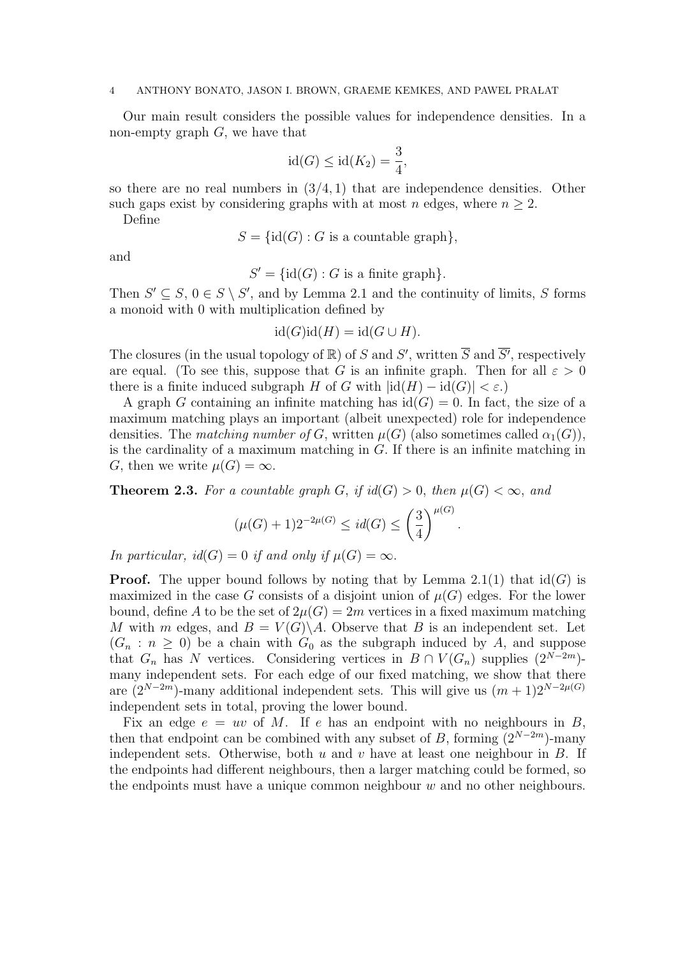Our main result considers the possible values for independence densities. In a non-empty graph  $G$ , we have that

$$
id(G) \leq id(K_2) = \frac{3}{4},
$$

so there are no real numbers in  $(3/4, 1)$  that are independence densities. Other such gaps exist by considering graphs with at most n edges, where  $n \geq 2$ .

Define

$$
S = \{id(G) : G \text{ is a countable graph} \},
$$

and

 $S' = \{id(G) : G$  is a finite graph.

Then  $S' \subseteq S$ ,  $0 \in S \setminus S'$ , and by Lemma 2.1 and the continuity of limits, S forms a monoid with 0 with multiplication defined by

 $id(G)id(H) = id(G \cup H).$ 

The closures (in the usual topology of  $\mathbb R$ ) of S and S', written  $\overline{S}$  and  $\overline{S'}$ , respectively are equal. (To see this, suppose that G is an infinite graph. Then for all  $\varepsilon > 0$ there is a finite induced subgraph H of G with  $|\text{id}(H) - \text{id}(G)| < \varepsilon$ .

A graph G containing an infinite matching has  $\mathrm{id}(G) = 0$ . In fact, the size of a maximum matching plays an important (albeit unexpected) role for independence densities. The matching number of G, written  $\mu(G)$  (also sometimes called  $\alpha_1(G)$ ), is the cardinality of a maximum matching in  $G$ . If there is an infinite matching in G, then we write  $\mu(G) = \infty$ .

**Theorem 2.3.** For a countable graph G, if  $id(G) > 0$ , then  $\mu(G) < \infty$ , and

$$
(\mu(G) + 1)2^{-2\mu(G)} \leq id(G) \leq \left(\frac{3}{4}\right)^{\mu(G)}
$$

.

In particular,  $id(G) = 0$  if and only if  $\mu(G) = \infty$ .

**Proof.** The upper bound follows by noting that by Lemma 2.1(1) that  $id(G)$  is maximized in the case G consists of a disjoint union of  $\mu(G)$  edges. For the lower bound, define A to be the set of  $2\mu(G) = 2m$  vertices in a fixed maximum matching M with m edges, and  $B = V(G) \backslash A$ . Observe that B is an independent set. Let  $(G_n : n \geq 0)$  be a chain with  $G_0$  as the subgraph induced by A, and suppose that  $G_n$  has N vertices. Considering vertices in  $B \cap V(G_n)$  supplies  $(2^{N-2m})$ many independent sets. For each edge of our fixed matching, we show that there are  $(2^{N-2m})$ -many additional independent sets. This will give us  $(m+1)2^{N-2\mu(G)}$ independent sets in total, proving the lower bound.

Fix an edge  $e = uv$  of M. If e has an endpoint with no neighbours in B, then that endpoint can be combined with any subset of B, forming  $(2^{N-2m})$ -many independent sets. Otherwise, both  $u$  and  $v$  have at least one neighbour in  $B$ . If the endpoints had different neighbours, then a larger matching could be formed, so the endpoints must have a unique common neighbour  $w$  and no other neighbours.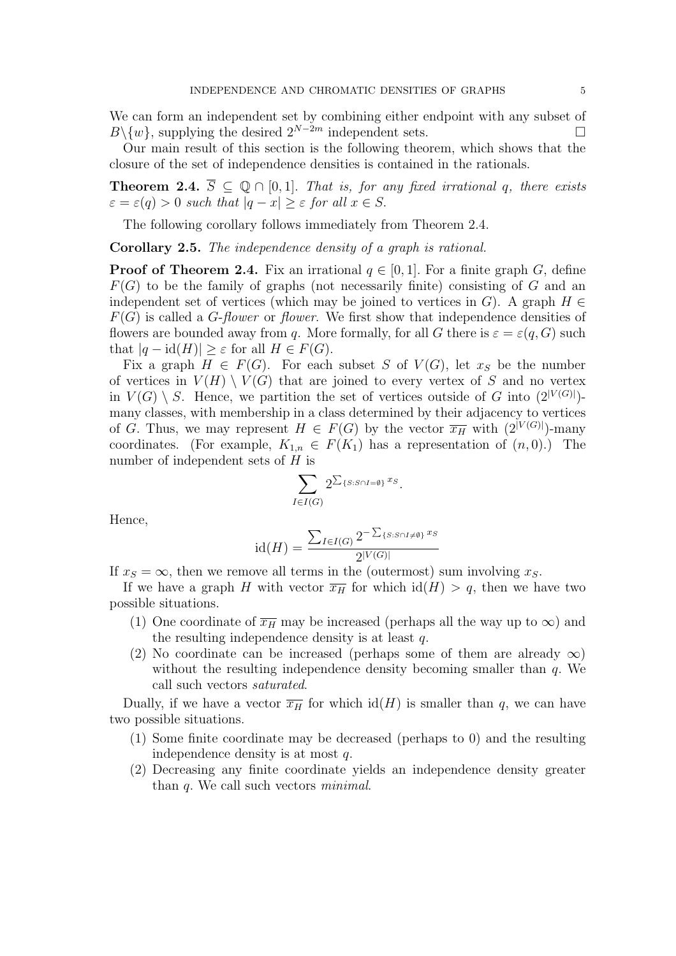We can form an independent set by combining either endpoint with any subset of  $B\backslash \{w\}$ , supplying the desired  $2^{N-2m}$  independent sets.  $\Box$ 

Our main result of this section is the following theorem, which shows that the closure of the set of independence densities is contained in the rationals.

**Theorem 2.4.**  $\overline{S} \subseteq \mathbb{Q} \cap [0,1]$ . That is, for any fixed irrational q, there exists  $\varepsilon = \varepsilon(q) > 0$  such that  $|q - x| \geq \varepsilon$  for all  $x \in S$ .

The following corollary follows immediately from Theorem 2.4.

Corollary 2.5. The independence density of a graph is rational.

**Proof of Theorem 2.4.** Fix an irrational  $q \in [0,1]$ . For a finite graph G, define  $F(G)$  to be the family of graphs (not necessarily finite) consisting of G and an independent set of vertices (which may be joined to vertices in G). A graph  $H \in$  $F(G)$  is called a *G-flower* or *flower*. We first show that independence densities of flowers are bounded away from q. More formally, for all G there is  $\varepsilon = \varepsilon(q, G)$  such that  $|q - \text{id}(H)| \geq \varepsilon$  for all  $H \in F(G)$ .

Fix a graph  $H \in F(G)$ . For each subset S of  $V(G)$ , let  $x<sub>S</sub>$  be the number of vertices in  $V(H) \setminus V(G)$  that are joined to every vertex of S and no vertex in  $V(G) \setminus S$ . Hence, we partition the set of vertices outside of G into  $(2^{|V(G)|})$ many classes, with membership in a class determined by their adjacency to vertices of G. Thus, we may represent  $H \in F(G)$  by the vector  $\overline{x_H}$  with  $(2^{|V(G)|})$ -many coordinates. (For example,  $K_{1,n} \in F(K_1)$  has a representation of  $(n,0)$ .) The number of independent sets of  $H$  is

$$
\sum_{I\in I(G)} 2^{\sum_{\{S:S\cap I=\emptyset\}} x_S}.
$$

Hence,

$$
id(H) = \frac{\sum_{I \in I(G)} 2^{-\sum_{\{S: S \cap I \neq \emptyset\}} x_S}}{2^{|V(G)|}}
$$

If  $x_S = \infty$ , then we remove all terms in the (outermost) sum involving  $x_S$ .

If we have a graph H with vector  $\overline{x_H}$  for which  $\text{id}(H) > q$ , then we have two possible situations.

- (1) One coordinate of  $\overline{x_H}$  may be increased (perhaps all the way up to  $\infty$ ) and the resulting independence density is at least q.
- (2) No coordinate can be increased (perhaps some of them are already  $\infty$ ) without the resulting independence density becoming smaller than  $q$ . We call such vectors saturated.

Dually, if we have a vector  $\overline{x_H}$  for which  $\text{id}(H)$  is smaller than q, we can have two possible situations.

- (1) Some finite coordinate may be decreased (perhaps to 0) and the resulting independence density is at most q.
- (2) Decreasing any finite coordinate yields an independence density greater than q. We call such vectors minimal.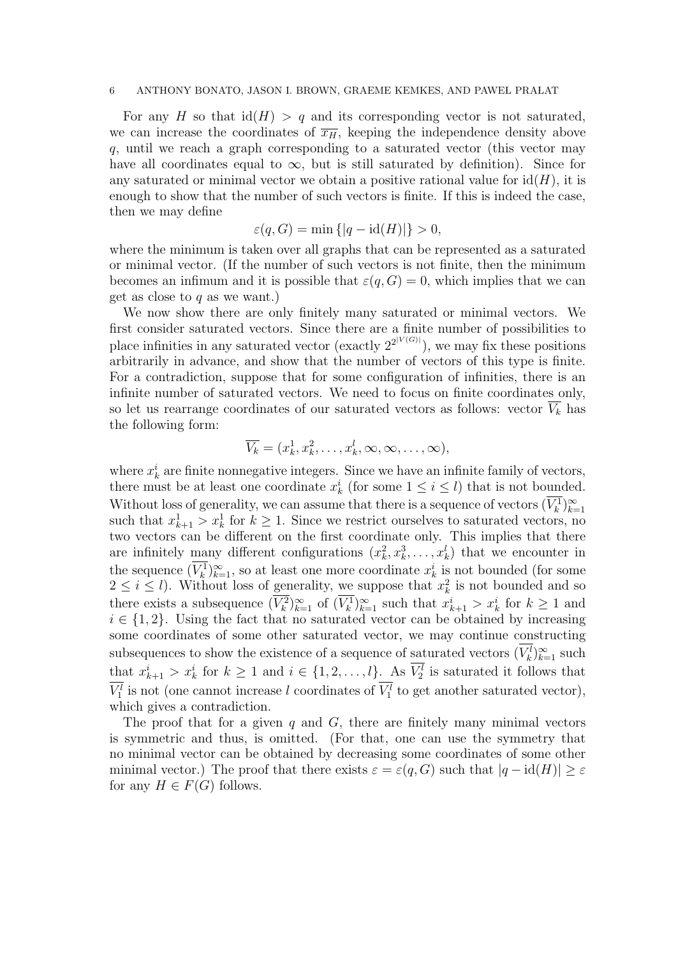For any H so that  $\text{id}(H) > q$  and its corresponding vector is not saturated, we can increase the coordinates of  $\overline{x_H}$ , keeping the independence density above q, until we reach a graph corresponding to a saturated vector (this vector may have all coordinates equal to  $\infty$ , but is still saturated by definition). Since for any saturated or minimal vector we obtain a positive rational value for  $id(H)$ , it is enough to show that the number of such vectors is finite. If this is indeed the case, then we may define

$$
\varepsilon(q, G) = \min\{|q - \mathrm{id}(H)|\} > 0,
$$

where the minimum is taken over all graphs that can be represented as a saturated or minimal vector. (If the number of such vectors is not finite, then the minimum becomes an infimum and it is possible that  $\varepsilon(q, G) = 0$ , which implies that we can get as close to  $q$  as we want.)

We now show there are only finitely many saturated or minimal vectors. We first consider saturated vectors. Since there are a finite number of possibilities to place infinities in any saturated vector (exactly  $2^{2|V(G)|}$ ), we may fix these positions arbitrarily in advance, and show that the number of vectors of this type is finite. For a contradiction, suppose that for some configuration of infinities, there is an infinite number of saturated vectors. We need to focus on finite coordinates only, so let us rearrange coordinates of our saturated vectors as follows: vector  $\overline{V_k}$  has the following form:

$$
\overline{V_k} = (x_k^1, x_k^2, \dots, x_k^l, \infty, \infty, \dots, \infty),
$$

where  $x_k^i$  are finite nonnegative integers. Since we have an infinite family of vectors, there must be at least one coordinate  $x_k^i$  (for some  $1 \leq i \leq l$ ) that is not bounded. Without loss of generality, we can assume that there is a sequence of vectors  $(\overline{V_k^1})_{k=1}^{\infty}$  such that  $x_{k+1}^1 > x_k^1$  for  $k \ge 1$ . Since we restrict ourselves to saturated vectors, no two vectors can be different on the first coordinate only. This implies that there are infinitely many different configurations  $(x_k^2, x_k^3, \ldots, x_k^l)$  that we encounter in the sequence  $(\overline{V_k^1})_{k=1}^{\infty}$ , so at least one more coordinate  $x_k^i$  is not bounded (for some  $2 \leq i \leq l$ ). Without loss of generality, we suppose that  $x_k^2$  is not bounded and so there exists a subsequence  $(\overline{V_k^2})_{k=1}^{\infty}$  of  $(\overline{V_k^1})_{k=1}^{\infty}$  such that  $x_{k+1}^i > x_k^i$  for  $k \ge 1$  and  $i \in \{1, 2\}$ . Using the fact that no saturated vector can be obtained by increasing some coordinates of some other saturated vector, we may continue constructing subsequences to show the existence of a sequence of saturated vectors  $(V_k^l)_{k=1}^{\infty}$  such that  $x_{k+1}^i > x_k^i$  for  $k \ge 1$  and  $i \in \{1, 2, ..., l\}$ . As  $V_2^l$  is saturated it follows that  $V_1^l$  is not (one cannot increase l coordinates of  $V_1^l$  to get another saturated vector), which gives a contradiction.

The proof that for a given  $q$  and  $G$ , there are finitely many minimal vectors is symmetric and thus, is omitted. (For that, one can use the symmetry that no minimal vector can be obtained by decreasing some coordinates of some other minimal vector.) The proof that there exists  $\varepsilon = \varepsilon(q, G)$  such that  $|q - \mathrm{id}(H)| \geq \varepsilon$ for any  $H \in F(G)$  follows.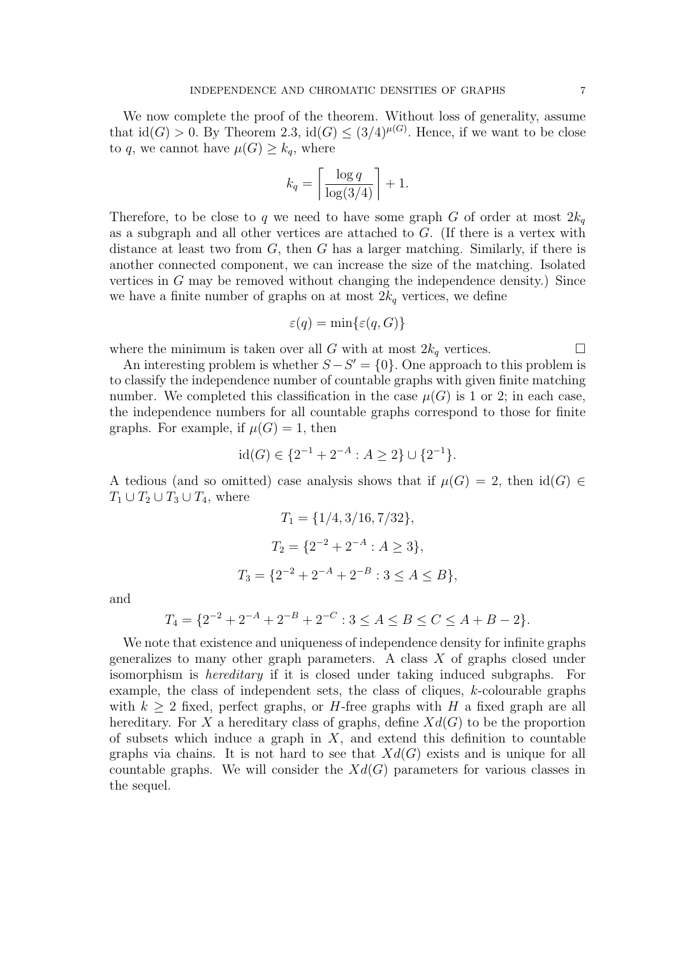We now complete the proof of the theorem. Without loss of generality, assume that  $\text{id}(G) > 0$ . By Theorem 2.3,  $\text{id}(G) \leq (3/4)^{\mu(G)}$ . Hence, if we want to be close to q, we cannot have  $\mu(G) \geq k_q$ , where

$$
k_q = \left\lceil \frac{\log q}{\log(3/4)} \right\rceil + 1.
$$

Therefore, to be close to q we need to have some graph G of order at most  $2k_q$ as a subgraph and all other vertices are attached to G. (If there is a vertex with distance at least two from  $G$ , then  $G$  has a larger matching. Similarly, if there is another connected component, we can increase the size of the matching. Isolated vertices in G may be removed without changing the independence density.) Since we have a finite number of graphs on at most  $2k_q$  vertices, we define

$$
\varepsilon(q) = \min\{\varepsilon(q, G)\}\
$$

where the minimum is taken over all G with at most  $2k_q$  vertices.  $\Box$ 

An interesting problem is whether  $S - S' = \{0\}$ . One approach to this problem is to classify the independence number of countable graphs with given finite matching number. We completed this classification in the case  $\mu(G)$  is 1 or 2; in each case, the independence numbers for all countable graphs correspond to those for finite graphs. For example, if  $\mu(G) = 1$ , then

$$
id(G) \in \{2^{-1} + 2^{-A} : A \ge 2\} \cup \{2^{-1}\}.
$$

A tedious (and so omitted) case analysis shows that if  $\mu(G) = 2$ , then  $\text{id}(G) \in$  $T_1 \cup T_2 \cup T_3 \cup T_4$ , where

$$
T_1 = \{1/4, 3/16, 7/32\},
$$
  
\n
$$
T_2 = \{2^{-2} + 2^{-A} : A \ge 3\},
$$
  
\n
$$
T_3 = \{2^{-2} + 2^{-A} + 2^{-B} : 3 \le A \le B\},
$$

and

$$
T_4 = \{2^{-2} + 2^{-A} + 2^{-B} + 2^{-C} : 3 \le A \le B \le C \le A + B - 2\}.
$$

We note that existence and uniqueness of independence density for infinite graphs generalizes to many other graph parameters. A class  $X$  of graphs closed under isomorphism is hereditary if it is closed under taking induced subgraphs. For example, the class of independent sets, the class of cliques,  $k$ -colourable graphs with  $k > 2$  fixed, perfect graphs, or H-free graphs with H a fixed graph are all hereditary. For X a hereditary class of graphs, define  $Xd(G)$  to be the proportion of subsets which induce a graph in  $X$ , and extend this definition to countable graphs via chains. It is not hard to see that  $Xd(G)$  exists and is unique for all countable graphs. We will consider the  $Xd(G)$  parameters for various classes in the sequel.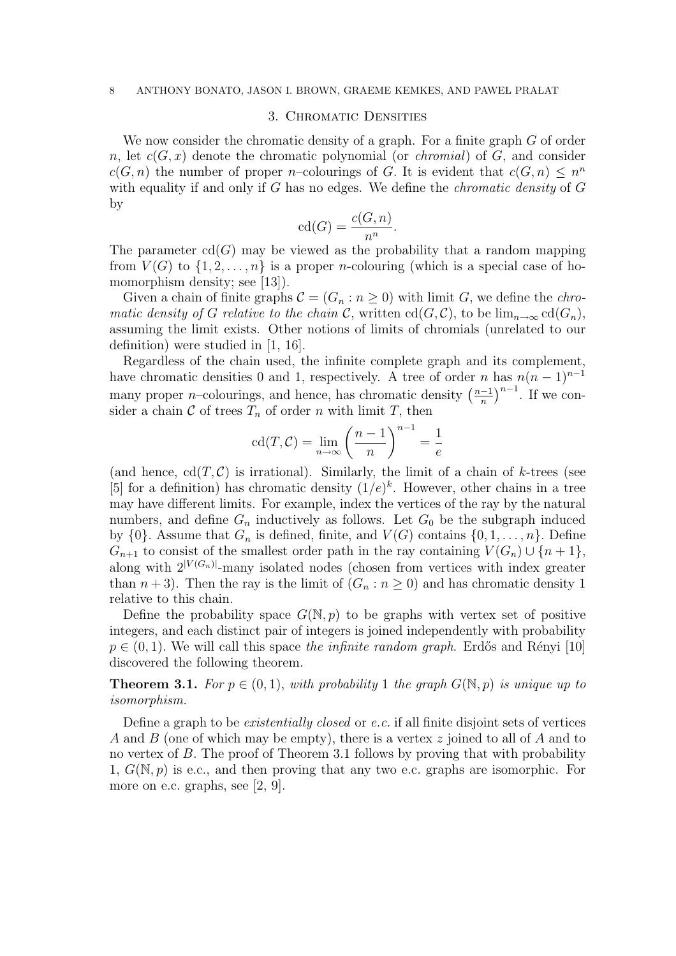## 3. Chromatic Densities

We now consider the chromatic density of a graph. For a finite graph G of order n, let  $c(G, x)$  denote the chromatic polynomial (or *chromial*) of G, and consider  $c(G, n)$  the number of proper *n*-colourings of G. It is evident that  $c(G, n) \leq n^n$ with equality if and only if  $G$  has no edges. We define the *chromatic density* of  $G$ by

$$
\mathrm{cd}(G) = \frac{c(G, n)}{n^n}.
$$

The parameter  $cd(G)$  may be viewed as the probability that a random mapping from  $V(G)$  to  $\{1, 2, ..., n\}$  is a proper *n*-colouring (which is a special case of homomorphism density; see [13]).

Given a chain of finite graphs  $\mathcal{C} = (G_n : n \geq 0)$  with limit G, we define the *chro*matic density of G relative to the chain C, written  $\text{cd}(G, \mathcal{C})$ , to be  $\lim_{n\to\infty} \text{cd}(G_n)$ , assuming the limit exists. Other notions of limits of chromials (unrelated to our definition) were studied in [1, 16].

Regardless of the chain used, the infinite complete graph and its complement, have chromatic densities 0 and 1, respectively. A tree of order n has  $n(n-1)^{n-1}$ mare cinomatic densities 0 and 1, respectively. A tree of order *n*<br>many proper *n*–colourings, and hence, has chromatic density  $\left(\frac{n-1}{n}\right)$ n  $\int_{0}^{n-1}$ . If we consider a chain  $\mathcal C$  of trees  $T_n$  of order n with limit T, then

$$
\operatorname{cd}(T,\mathcal{C}) = \lim_{n \to \infty} \left(\frac{n-1}{n}\right)^{n-1} = \frac{1}{e}
$$

(and hence,  $cd(T, C)$  is irrational). Similarly, the limit of a chain of k-trees (see [5] for a definition) has chromatic density  $(1/e)^k$ . However, other chains in a tree may have different limits. For example, index the vertices of the ray by the natural numbers, and define  $G_n$  inductively as follows. Let  $G_0$  be the subgraph induced by  $\{0\}$ . Assume that  $G_n$  is defined, finite, and  $V(G)$  contains  $\{0, 1, \ldots, n\}$ . Define  $G_{n+1}$  to consist of the smallest order path in the ray containing  $V(G_n) \cup \{n+1\},\$ along with  $2^{|V(G_n)|}$ -many isolated nodes (chosen from vertices with index greater than  $n + 3$ ). Then the ray is the limit of  $(G_n : n \ge 0)$  and has chromatic density 1 relative to this chain.

Define the probability space  $G(N, p)$  to be graphs with vertex set of positive integers, and each distinct pair of integers is joined independently with probability  $p \in (0, 1)$ . We will call this space the infinite random graph. Erdős and Rényi [10] discovered the following theorem.

**Theorem 3.1.** For  $p \in (0,1)$ , with probability 1 the graph  $G(\mathbb{N},p)$  is unique up to isomorphism.

Define a graph to be existentially closed or e.c. if all finite disjoint sets of vertices A and B (one of which may be empty), there is a vertex z joined to all of A and to no vertex of B. The proof of Theorem 3.1 follows by proving that with probability 1,  $G(\mathbb{N}, p)$  is e.c., and then proving that any two e.c. graphs are isomorphic. For more on e.c. graphs, see [2, 9].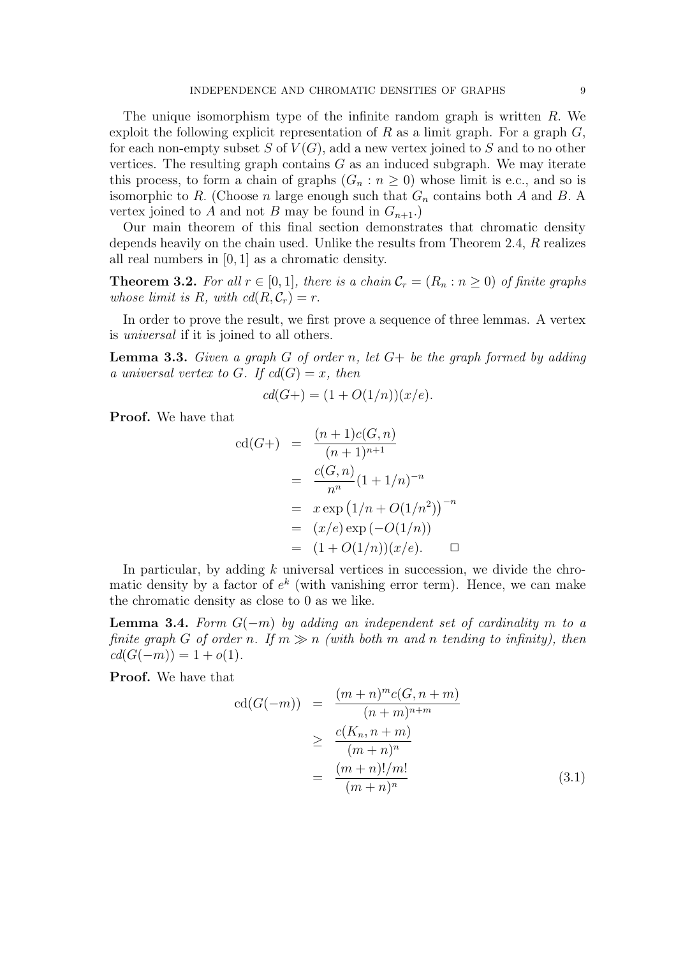The unique isomorphism type of the infinite random graph is written R. We exploit the following explicit representation of R as a limit graph. For a graph  $G$ , for each non-empty subset S of  $V(G)$ , add a new vertex joined to S and to no other vertices. The resulting graph contains  $G$  as an induced subgraph. We may iterate this process, to form a chain of graphs  $(G_n : n \geq 0)$  whose limit is e.c., and so is isomorphic to R. (Choose n large enough such that  $G_n$  contains both A and B. A vertex joined to A and not B may be found in  $G_{n+1}$ .

Our main theorem of this final section demonstrates that chromatic density depends heavily on the chain used. Unlike the results from Theorem 2.4, R realizes all real numbers in [0, 1] as a chromatic density.

**Theorem 3.2.** For all  $r \in [0, 1]$ , there is a chain  $\mathcal{C}_r = (R_n : n \geq 0)$  of finite graphs whose limit is R, with  $cd(R, C_r) = r$ .

In order to prove the result, we first prove a sequence of three lemmas. A vertex is universal if it is joined to all others.

**Lemma 3.3.** Given a graph G of order n, let  $G$ + be the graph formed by adding a universal vertex to G. If  $cd(G) = x$ , then

$$
cd(G+) = (1 + O(1/n))(x/e).
$$

Proof. We have that

$$
cd(G+) = \frac{(n+1)c(G,n)}{(n+1)^{n+1}}
$$
  
= 
$$
\frac{c(G,n)}{n^n} (1+1/n)^{-n}
$$
  
= 
$$
x \exp (1/n + O(1/n^2))^{-n}
$$
  
= 
$$
(x/e) \exp (-O(1/n))
$$
  
= 
$$
(1+O(1/n))(x/e).
$$

In particular, by adding  $k$  universal vertices in succession, we divide the chromatic density by a factor of  $e^{k}$  (with vanishing error term). Hence, we can make the chromatic density as close to 0 as we like.

**Lemma 3.4.** Form  $G(-m)$  by adding an independent set of cardinality m to a finite graph G of order n. If  $m \gg n$  (with both m and n tending to infinity), then  $cd(G(-m)) = 1 + o(1).$ 

Proof. We have that

$$
cd(G(-m)) = \frac{(m+n)^{m}c(G, n+m)}{(n+m)^{n+m}}
$$
  
\n
$$
\geq \frac{c(K_{n}, n+m)}{(m+n)^{n}}
$$
  
\n
$$
= \frac{(m+n)!/m!}{(m+n)^{n}}
$$
 (3.1)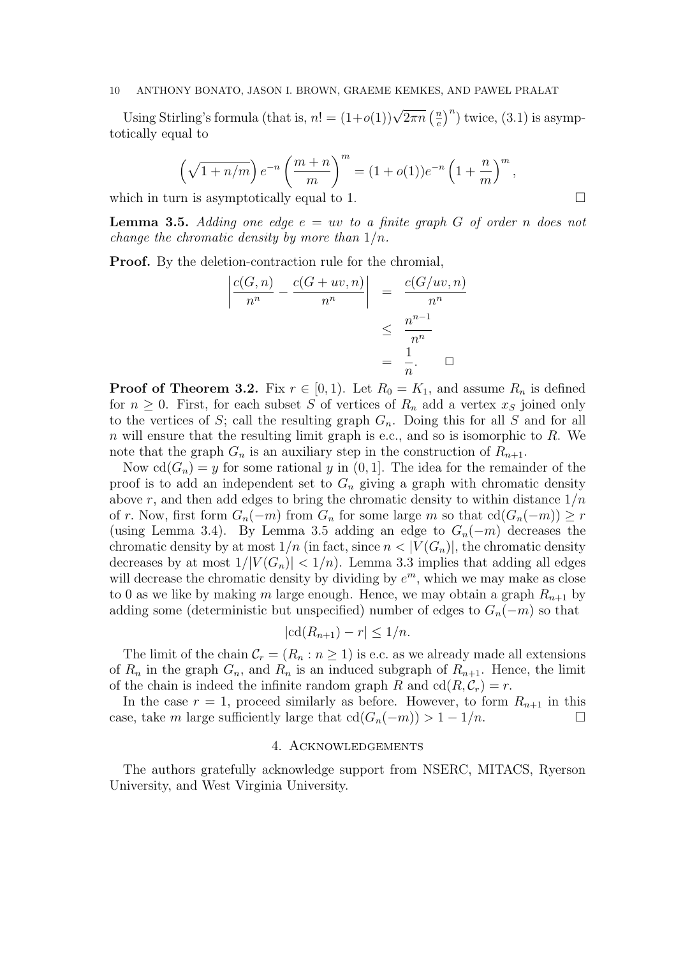Using Stirling's formula (that is,  $n! = (1+o(1))\sqrt{2\pi n} \left(\frac{n}{e}\right)$ e  $n^n$ ) twice,  $(3.1)$  is asymptotically equal to

$$
\left(\sqrt{1+n/m}\right)e^{-n}\left(\frac{m+n}{m}\right)^m = (1+o(1))e^{-n}\left(1+\frac{n}{m}\right)^m,
$$

which in turn is asymptotically equal to 1.  $\Box$ 

**Lemma 3.5.** Adding one edge  $e = uv$  to a finite graph G of order n does not change the chromatic density by more than  $1/n$ .

Proof. By the deletion-contraction rule for the chromial,  $\sim$   $\sim$   $\sim$   $\sim$   $\sim$ 

$$
\left| \frac{c(G,n)}{n^n} - \frac{c(G+uv,n)}{n^n} \right| = \frac{c(G/uv,n)}{n^n}
$$

$$
\leq \frac{n^{n-1}}{n^n}
$$

$$
= \frac{1}{n}.\quad \Box
$$

**Proof of Theorem 3.2.** Fix  $r \in [0, 1)$ . Let  $R_0 = K_1$ , and assume  $R_n$  is defined for  $n \geq 0$ . First, for each subset S of vertices of  $R_n$  add a vertex  $x_s$  joined only to the vertices of S; call the resulting graph  $G_n$ . Doing this for all S and for all  $n$  will ensure that the resulting limit graph is e.c., and so is isomorphic to  $R$ . We note that the graph  $G_n$  is an auxiliary step in the construction of  $R_{n+1}$ .

Now  $cd(G_n) = y$  for some rational y in  $(0, 1]$ . The idea for the remainder of the proof is to add an independent set to  $G_n$  giving a graph with chromatic density above r, and then add edges to bring the chromatic density to within distance  $1/n$ of r. Now, first form  $G_n(-m)$  from  $G_n$  for some large m so that  $cd(G_n(-m)) \geq r$ (using Lemma 3.4). By Lemma 3.5 adding an edge to  $G_n(-m)$  decreases the chromatic density by at most  $1/n$  (in fact, since  $n < |V(G_n)|$ , the chromatic density decreases by at most  $1/|V(G_n)| < 1/n$ . Lemma 3.3 implies that adding all edges will decrease the chromatic density by dividing by  $e^m$ , which we may make as close to 0 as we like by making m large enough. Hence, we may obtain a graph  $R_{n+1}$  by adding some (deterministic but unspecified) number of edges to  $G_n(-m)$  so that

$$
|cd(R_{n+1}) - r| \le 1/n.
$$

The limit of the chain  $C_r = (R_n : n \ge 1)$  is e.c. as we already made all extensions of  $R_n$  in the graph  $G_n$ , and  $R_n$  is an induced subgraph of  $R_{n+1}$ . Hence, the limit of the chain is indeed the infinite random graph R and  $\text{cd}(R, \mathcal{C}_r) = r$ .

In the case  $r = 1$ , proceed similarly as before. However, to form  $R_{n+1}$  in this case, take m large sufficiently large that  $\text{cd}(G_n(-m)) > 1 - 1/n$ .  $\Box$ 

# 4. Acknowledgements

The authors gratefully acknowledge support from NSERC, MITACS, Ryerson University, and West Virginia University.